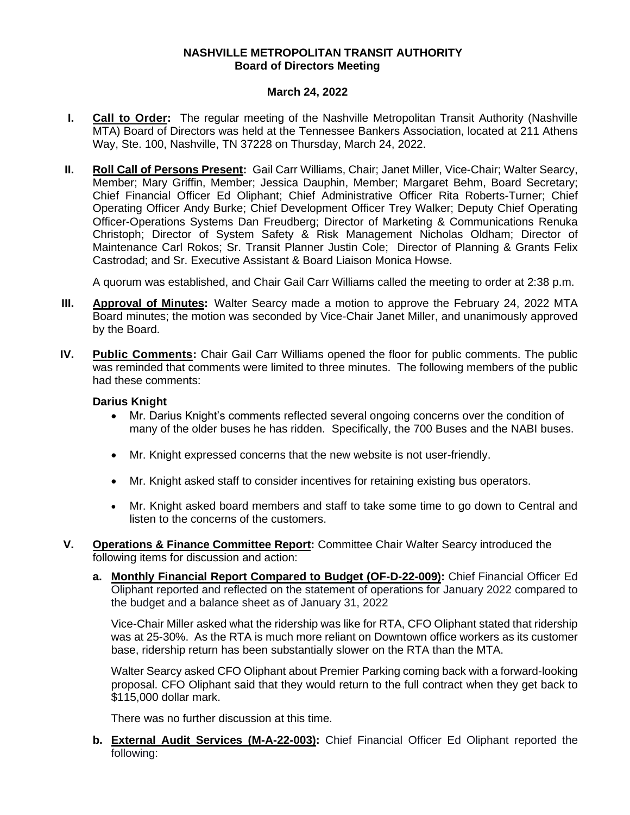## **NASHVILLE METROPOLITAN TRANSIT AUTHORITY Board of Directors Meeting**

## **March 24, 2022**

- **I. Call to Order:** The regular meeting of the Nashville Metropolitan Transit Authority (Nashville MTA) Board of Directors was held at the Tennessee Bankers Association, located at 211 Athens Way, Ste. 100, Nashville, TN 37228 on Thursday, March 24, 2022.
- **II. Roll Call of Persons Present:** Gail Carr Williams, Chair; Janet Miller, Vice-Chair; Walter Searcy, Member; Mary Griffin, Member; Jessica Dauphin, Member; Margaret Behm, Board Secretary; Chief Financial Officer Ed Oliphant; Chief Administrative Officer Rita Roberts-Turner; Chief Operating Officer Andy Burke; Chief Development Officer Trey Walker; Deputy Chief Operating Officer-Operations Systems Dan Freudberg; Director of Marketing & Communications Renuka Christoph; Director of System Safety & Risk Management Nicholas Oldham; Director of Maintenance Carl Rokos; Sr. Transit Planner Justin Cole; Director of Planning & Grants Felix Castrodad; and Sr. Executive Assistant & Board Liaison Monica Howse.

A quorum was established, and Chair Gail Carr Williams called the meeting to order at 2:38 p.m.

- **III. Approval of Minutes:** Walter Searcy made a motion to approve the February 24, 2022 MTA Board minutes; the motion was seconded by Vice-Chair Janet Miller, and unanimously approved by the Board.
- **IV. Public Comments:** Chair Gail Carr Williams opened the floor for public comments. The public was reminded that comments were limited to three minutes. The following members of the public had these comments:

## **Darius Knight**

- Mr. Darius Knight's comments reflected several ongoing concerns over the condition of many of the older buses he has ridden. Specifically, the 700 Buses and the NABI buses.
- Mr. Knight expressed concerns that the new website is not user-friendly.
- Mr. Knight asked staff to consider incentives for retaining existing bus operators.
- Mr. Knight asked board members and staff to take some time to go down to Central and listen to the concerns of the customers.
- **V. Operations & Finance Committee Report:** Committee Chair Walter Searcy introduced the following items for discussion and action:
	- **a. Monthly Financial Report Compared to Budget (OF-D-22-009):** Chief Financial Officer Ed Oliphant reported and reflected on the statement of operations for January 2022 compared to the budget and a balance sheet as of January 31, 2022

Vice-Chair Miller asked what the ridership was like for RTA, CFO Oliphant stated that ridership was at 25-30%. As the RTA is much more reliant on Downtown office workers as its customer base, ridership return has been substantially slower on the RTA than the MTA.

Walter Searcy asked CFO Oliphant about Premier Parking coming back with a forward-looking proposal. CFO Oliphant said that they would return to the full contract when they get back to \$115,000 dollar mark.

There was no further discussion at this time.

**b. External Audit Services (M-A-22-003):** Chief Financial Officer Ed Oliphant reported the following: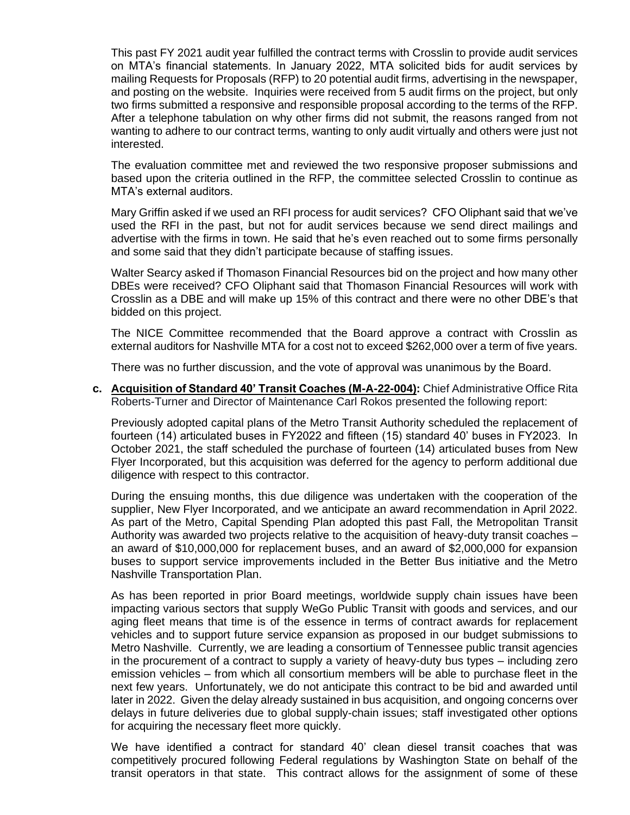This past FY 2021 audit year fulfilled the contract terms with Crosslin to provide audit services on MTA's financial statements. In January 2022, MTA solicited bids for audit services by mailing Requests for Proposals (RFP) to 20 potential audit firms, advertising in the newspaper, and posting on the website. Inquiries were received from 5 audit firms on the project, but only two firms submitted a responsive and responsible proposal according to the terms of the RFP. After a telephone tabulation on why other firms did not submit, the reasons ranged from not wanting to adhere to our contract terms, wanting to only audit virtually and others were just not interested.

The evaluation committee met and reviewed the two responsive proposer submissions and based upon the criteria outlined in the RFP, the committee selected Crosslin to continue as MTA's external auditors.

Mary Griffin asked if we used an RFI process for audit services? CFO Oliphant said that we've used the RFI in the past, but not for audit services because we send direct mailings and advertise with the firms in town. He said that he's even reached out to some firms personally and some said that they didn't participate because of staffing issues.

Walter Searcy asked if Thomason Financial Resources bid on the project and how many other DBEs were received? CFO Oliphant said that Thomason Financial Resources will work with Crosslin as a DBE and will make up 15% of this contract and there were no other DBE's that bidded on this project.

The NICE Committee recommended that the Board approve a contract with Crosslin as external auditors for Nashville MTA for a cost not to exceed \$262,000 over a term of five years.

There was no further discussion, and the vote of approval was unanimous by the Board.

**c. Acquisition of Standard 40' Transit Coaches (M-A-22-004):** Chief Administrative Office Rita Roberts-Turner and Director of Maintenance Carl Rokos presented the following report:

Previously adopted capital plans of the Metro Transit Authority scheduled the replacement of fourteen (14) articulated buses in FY2022 and fifteen (15) standard 40' buses in FY2023. In October 2021, the staff scheduled the purchase of fourteen (14) articulated buses from New Flyer Incorporated, but this acquisition was deferred for the agency to perform additional due diligence with respect to this contractor.

During the ensuing months, this due diligence was undertaken with the cooperation of the supplier, New Flyer Incorporated, and we anticipate an award recommendation in April 2022. As part of the Metro, Capital Spending Plan adopted this past Fall, the Metropolitan Transit Authority was awarded two projects relative to the acquisition of heavy-duty transit coaches – an award of \$10,000,000 for replacement buses, and an award of \$2,000,000 for expansion buses to support service improvements included in the Better Bus initiative and the Metro Nashville Transportation Plan.

As has been reported in prior Board meetings, worldwide supply chain issues have been impacting various sectors that supply WeGo Public Transit with goods and services, and our aging fleet means that time is of the essence in terms of contract awards for replacement vehicles and to support future service expansion as proposed in our budget submissions to Metro Nashville. Currently, we are leading a consortium of Tennessee public transit agencies in the procurement of a contract to supply a variety of heavy-duty bus types – including zero emission vehicles – from which all consortium members will be able to purchase fleet in the next few years. Unfortunately, we do not anticipate this contract to be bid and awarded until later in 2022. Given the delay already sustained in bus acquisition, and ongoing concerns over delays in future deliveries due to global supply-chain issues; staff investigated other options for acquiring the necessary fleet more quickly.

We have identified a contract for standard 40' clean diesel transit coaches that was competitively procured following Federal regulations by Washington State on behalf of the transit operators in that state. This contract allows for the assignment of some of these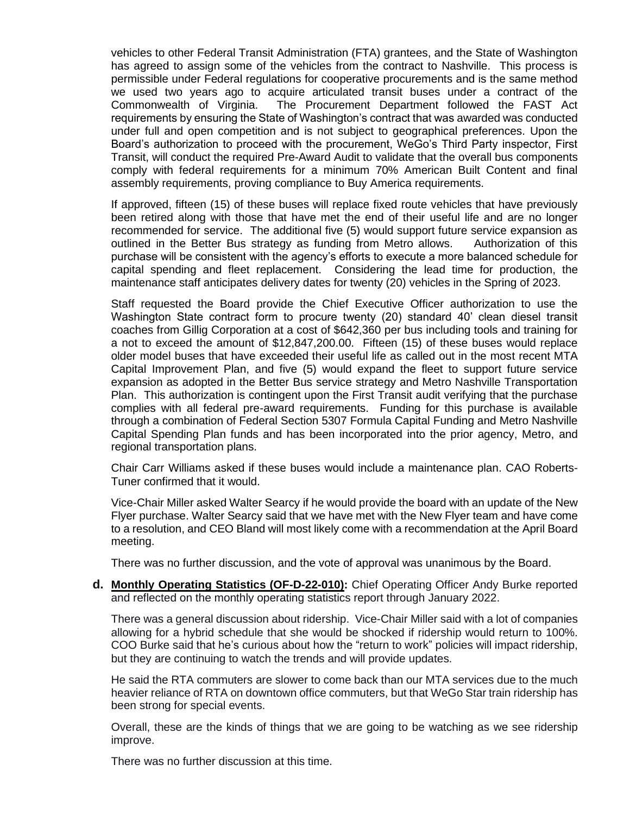vehicles to other Federal Transit Administration (FTA) grantees, and the State of Washington has agreed to assign some of the vehicles from the contract to Nashville. This process is permissible under Federal regulations for cooperative procurements and is the same method we used two years ago to acquire articulated transit buses under a contract of the Commonwealth of Virginia. The Procurement Department followed the FAST Act requirements by ensuring the State of Washington's contract that was awarded was conducted under full and open competition and is not subject to geographical preferences. Upon the Board's authorization to proceed with the procurement, WeGo's Third Party inspector, First Transit, will conduct the required Pre-Award Audit to validate that the overall bus components comply with federal requirements for a minimum 70% American Built Content and final assembly requirements, proving compliance to Buy America requirements.

If approved, fifteen (15) of these buses will replace fixed route vehicles that have previously been retired along with those that have met the end of their useful life and are no longer recommended for service. The additional five (5) would support future service expansion as outlined in the Better Bus strategy as funding from Metro allows. Authorization of this purchase will be consistent with the agency's efforts to execute a more balanced schedule for capital spending and fleet replacement. Considering the lead time for production, the maintenance staff anticipates delivery dates for twenty (20) vehicles in the Spring of 2023.

Staff requested the Board provide the Chief Executive Officer authorization to use the Washington State contract form to procure twenty (20) standard 40' clean diesel transit coaches from Gillig Corporation at a cost of \$642,360 per bus including tools and training for a not to exceed the amount of \$12,847,200.00. Fifteen (15) of these buses would replace older model buses that have exceeded their useful life as called out in the most recent MTA Capital Improvement Plan, and five (5) would expand the fleet to support future service expansion as adopted in the Better Bus service strategy and Metro Nashville Transportation Plan. This authorization is contingent upon the First Transit audit verifying that the purchase complies with all federal pre-award requirements. Funding for this purchase is available through a combination of Federal Section 5307 Formula Capital Funding and Metro Nashville Capital Spending Plan funds and has been incorporated into the prior agency, Metro, and regional transportation plans.

Chair Carr Williams asked if these buses would include a maintenance plan. CAO Roberts-Tuner confirmed that it would.

Vice-Chair Miller asked Walter Searcy if he would provide the board with an update of the New Flyer purchase. Walter Searcy said that we have met with the New Flyer team and have come to a resolution, and CEO Bland will most likely come with a recommendation at the April Board meeting.

There was no further discussion, and the vote of approval was unanimous by the Board.

**d. Monthly Operating Statistics (OF-D-22-010):** Chief Operating Officer Andy Burke reported and reflected on the monthly operating statistics report through January 2022.

There was a general discussion about ridership. Vice-Chair Miller said with a lot of companies allowing for a hybrid schedule that she would be shocked if ridership would return to 100%. COO Burke said that he's curious about how the "return to work" policies will impact ridership, but they are continuing to watch the trends and will provide updates.

He said the RTA commuters are slower to come back than our MTA services due to the much heavier reliance of RTA on downtown office commuters, but that WeGo Star train ridership has been strong for special events.

Overall, these are the kinds of things that we are going to be watching as we see ridership improve.

There was no further discussion at this time.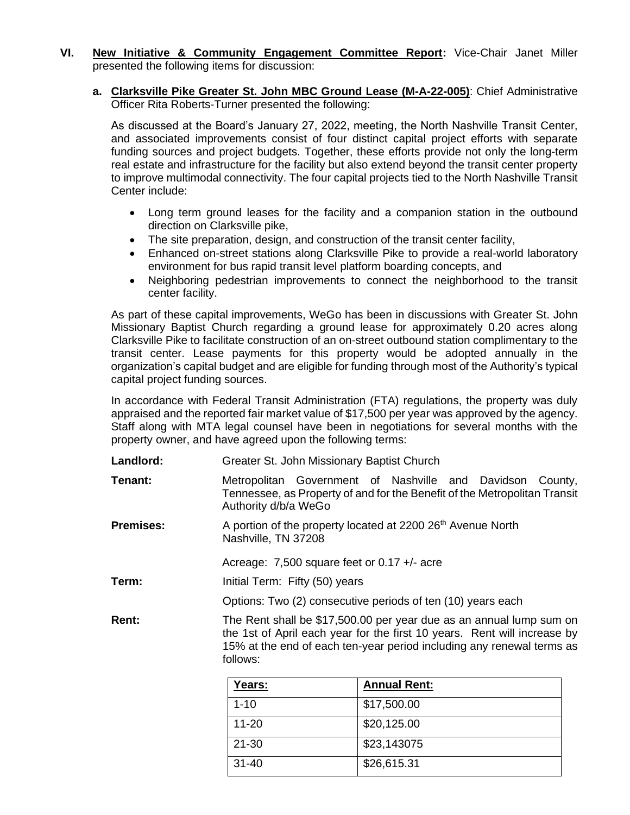- **VI. New Initiative & Community Engagement Committee Report:** Vice-Chair Janet Miller presented the following items for discussion:
	- **a. Clarksville Pike Greater St. John MBC Ground Lease (M-A-22-005)**: Chief Administrative Officer Rita Roberts-Turner presented the following:

As discussed at the Board's January 27, 2022, meeting, the North Nashville Transit Center, and associated improvements consist of four distinct capital project efforts with separate funding sources and project budgets. Together, these efforts provide not only the long-term real estate and infrastructure for the facility but also extend beyond the transit center property to improve multimodal connectivity. The four capital projects tied to the North Nashville Transit Center include:

- Long term ground leases for the facility and a companion station in the outbound direction on Clarksville pike,
- The site preparation, design, and construction of the transit center facility,
- Enhanced on-street stations along Clarksville Pike to provide a real-world laboratory environment for bus rapid transit level platform boarding concepts, and
- Neighboring pedestrian improvements to connect the neighborhood to the transit center facility.

As part of these capital improvements, WeGo has been in discussions with Greater St. John Missionary Baptist Church regarding a ground lease for approximately 0.20 acres along Clarksville Pike to facilitate construction of an on-street outbound station complimentary to the transit center. Lease payments for this property would be adopted annually in the organization's capital budget and are eligible for funding through most of the Authority's typical capital project funding sources.

In accordance with Federal Transit Administration (FTA) regulations, the property was duly appraised and the reported fair market value of \$17,500 per year was approved by the agency. Staff along with MTA legal counsel have been in negotiations for several months with the property owner, and have agreed upon the following terms:

| Landlord:        | Greater St. John Missionary Baptist Church                                                                                                                                                                                           |  |  |
|------------------|--------------------------------------------------------------------------------------------------------------------------------------------------------------------------------------------------------------------------------------|--|--|
| Tenant:          | Metropolitan Government of Nashville and Davidson County,<br>Tennessee, as Property of and for the Benefit of the Metropolitan Transit<br>Authority d/b/a WeGo                                                                       |  |  |
| <b>Premises:</b> | A portion of the property located at 2200 26 <sup>th</sup> Avenue North<br>Nashville, TN 37208                                                                                                                                       |  |  |
|                  | Acreage: 7,500 square feet or $0.17 +/-$ acre                                                                                                                                                                                        |  |  |
| Term:            | Initial Term: Fifty (50) years                                                                                                                                                                                                       |  |  |
|                  | Options: Two (2) consecutive periods of ten (10) years each                                                                                                                                                                          |  |  |
| Rent:            | The Rent shall be \$17,500.00 per year due as an annual lump sum on<br>the 1st of April each year for the first 10 years. Rent will increase by<br>15% at the end of each ten-year period including any renewal terms as<br>follows: |  |  |

| Years:    | <b>Annual Rent:</b> |
|-----------|---------------------|
| $1 - 10$  | \$17,500.00         |
| $11 - 20$ | \$20,125.00         |
| 21-30     | \$23,143075         |
| $31 - 40$ | \$26,615.31         |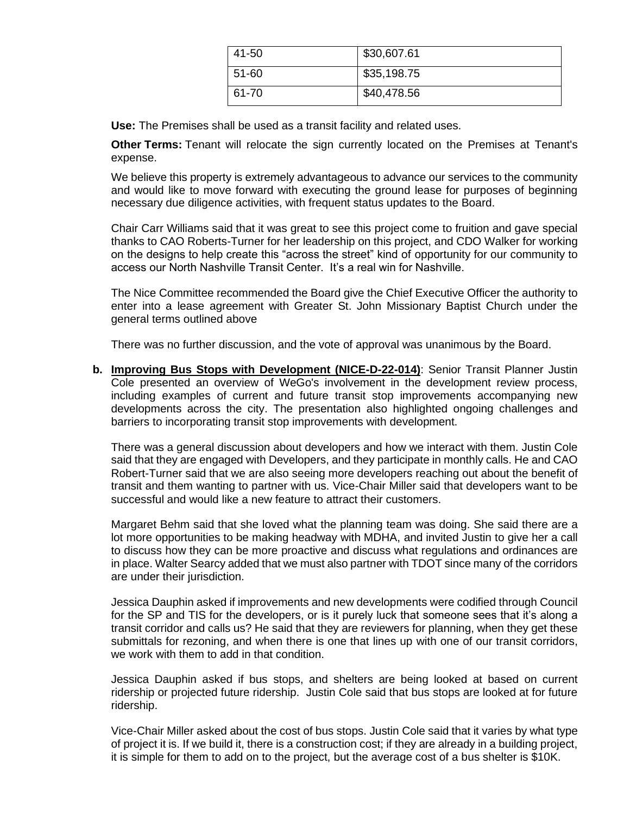| 41-50 | \$30,607.61 |
|-------|-------------|
| 51-60 | \$35,198.75 |
| 61-70 | \$40,478.56 |

**Use:** The Premises shall be used as a transit facility and related uses.

**Other Terms:** Tenant will relocate the sign currently located on the Premises at Tenant's expense.

We believe this property is extremely advantageous to advance our services to the community and would like to move forward with executing the ground lease for purposes of beginning necessary due diligence activities, with frequent status updates to the Board.

Chair Carr Williams said that it was great to see this project come to fruition and gave special thanks to CAO Roberts-Turner for her leadership on this project, and CDO Walker for working on the designs to help create this "across the street" kind of opportunity for our community to access our North Nashville Transit Center. It's a real win for Nashville.

The Nice Committee recommended the Board give the Chief Executive Officer the authority to enter into a lease agreement with Greater St. John Missionary Baptist Church under the general terms outlined above

There was no further discussion, and the vote of approval was unanimous by the Board.

**b. Improving Bus Stops with Development (NICE-D-22-014)**: Senior Transit Planner Justin Cole presented an overview of WeGo's involvement in the development review process, including examples of current and future transit stop improvements accompanying new developments across the city. The presentation also highlighted ongoing challenges and barriers to incorporating transit stop improvements with development.

There was a general discussion about developers and how we interact with them. Justin Cole said that they are engaged with Developers, and they participate in monthly calls. He and CAO Robert-Turner said that we are also seeing more developers reaching out about the benefit of transit and them wanting to partner with us. Vice-Chair Miller said that developers want to be successful and would like a new feature to attract their customers.

Margaret Behm said that she loved what the planning team was doing. She said there are a lot more opportunities to be making headway with MDHA, and invited Justin to give her a call to discuss how they can be more proactive and discuss what regulations and ordinances are in place. Walter Searcy added that we must also partner with TDOT since many of the corridors are under their jurisdiction.

Jessica Dauphin asked if improvements and new developments were codified through Council for the SP and TIS for the developers, or is it purely luck that someone sees that it's along a transit corridor and calls us? He said that they are reviewers for planning, when they get these submittals for rezoning, and when there is one that lines up with one of our transit corridors, we work with them to add in that condition.

Jessica Dauphin asked if bus stops, and shelters are being looked at based on current ridership or projected future ridership. Justin Cole said that bus stops are looked at for future ridership.

Vice-Chair Miller asked about the cost of bus stops. Justin Cole said that it varies by what type of project it is. If we build it, there is a construction cost; if they are already in a building project, it is simple for them to add on to the project, but the average cost of a bus shelter is \$10K.